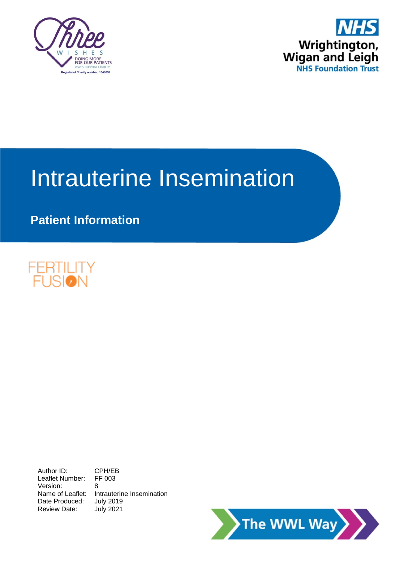



# Intrauterine Insemination

# **Patient Information**



Author ID: CPH/EB<br>Leaflet Number: FF 003 Leaflet Number: Version: 8 Name of Leaflet: Intrauterine Insemination Date Produced: July 2019 Review Date: July 2021

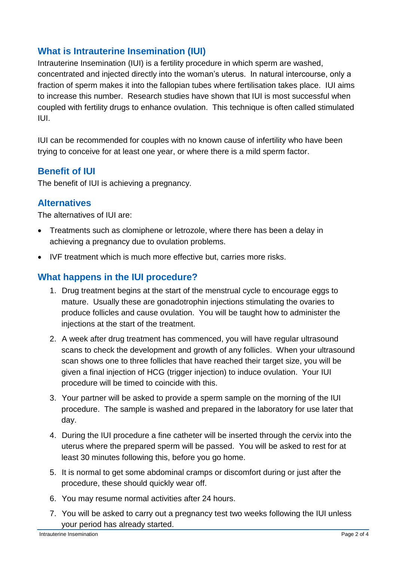### **What is Intrauterine Insemination (IUI)**

Intrauterine Insemination (IUI) is a fertility procedure in which sperm are washed, concentrated and injected directly into the woman's uterus. In natural intercourse, only a fraction of sperm makes it into the fallopian tubes where fertilisation takes place. IUI aims to increase this number. Research studies have shown that IUI is most successful when coupled with fertility drugs to enhance ovulation. This technique is often called stimulated IUI.

IUI can be recommended for couples with no known cause of infertility who have been trying to conceive for at least one year, or where there is a mild sperm factor.

#### **Benefit of IUI**

The benefit of IUI is achieving a pregnancy.

#### **Alternatives**

The alternatives of IUI are:

- Treatments such as clomiphene or letrozole, where there has been a delay in achieving a pregnancy due to ovulation problems.
- IVF treatment which is much more effective but, carries more risks.

### **What happens in the IUI procedure?**

- 1. Drug treatment begins at the start of the menstrual cycle to encourage eggs to mature. Usually these are gonadotrophin injections stimulating the ovaries to produce follicles and cause ovulation. You will be taught how to administer the injections at the start of the treatment.
- 2. A week after drug treatment has commenced, you will have regular ultrasound scans to check the development and growth of any follicles. When your ultrasound scan shows one to three follicles that have reached their target size, you will be given a final injection of HCG (trigger injection) to induce ovulation. Your IUI procedure will be timed to coincide with this.
- 3. Your partner will be asked to provide a sperm sample on the morning of the IUI procedure. The sample is washed and prepared in the laboratory for use later that day.
- 4. During the IUI procedure a fine catheter will be inserted through the cervix into the uterus where the prepared sperm will be passed. You will be asked to rest for at least 30 minutes following this, before you go home.
- 5. It is normal to get some abdominal cramps or discomfort during or just after the procedure, these should quickly wear off.
- 6. You may resume normal activities after 24 hours.
- 7. You will be asked to carry out a pregnancy test two weeks following the IUI unless your period has already started.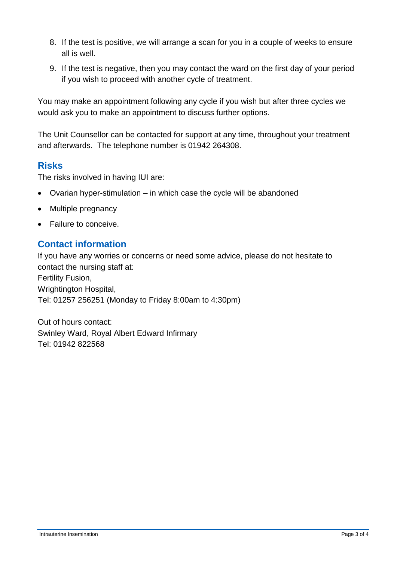- 8. If the test is positive, we will arrange a scan for you in a couple of weeks to ensure all is well.
- 9. If the test is negative, then you may contact the ward on the first day of your period if you wish to proceed with another cycle of treatment.

You may make an appointment following any cycle if you wish but after three cycles we would ask you to make an appointment to discuss further options.

The Unit Counsellor can be contacted for support at any time, throughout your treatment and afterwards. The telephone number is 01942 264308.

#### **Risks**

The risks involved in having IUI are:

- Ovarian hyper-stimulation in which case the cycle will be abandoned
- Multiple pregnancy
- **•** Failure to conceive

#### **Contact information**

If you have any worries or concerns or need some advice, please do not hesitate to contact the nursing staff at: Fertility Fusion, Wrightington Hospital, Tel: 01257 256251 (Monday to Friday 8:00am to 4:30pm)

Out of hours contact: Swinley Ward, Royal Albert Edward Infirmary Tel: 01942 822568